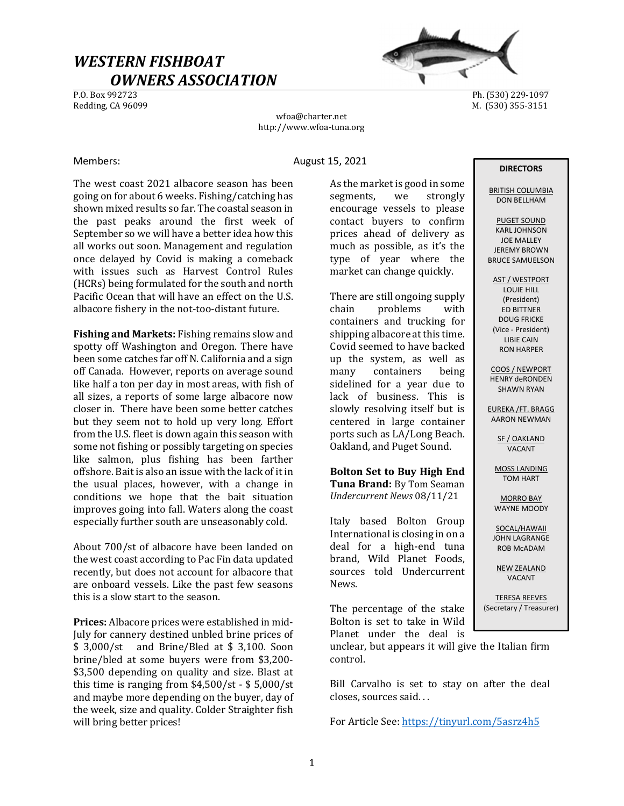# WESTERN FISHBOAT  $OWNERS ASSOCIATION$ </u>



Ph. (530) 229-1097 Redding, CA 96099 M. (530) 355-3151

wfoa@charter.net http://www.wfoa-tuna.org

# Members: Manual Museum August 15, 2021

The west coast 2021 albacore season has been going on for about 6 weeks. Fishing/catching has shown mixed results so far. The coastal season in the past peaks around the first week of September so we will have a better idea how this all works out soon. Management and regulation once delayed by Covid is making a comeback with issues such as Harvest Control Rules (HCRs) being formulated for the south and north Pacific Ocean that will have an effect on the U.S. albacore fishery in the not-too-distant future.

Fishing and Markets: Fishing remains slow and spotty off Washington and Oregon. There have been some catches far off N. California and a sign off Canada. However, reports on average sound like half a ton per day in most areas, with fish of all sizes, a reports of some large albacore now closer in. There have been some better catches but they seem not to hold up very long. Effort from the U.S. fleet is down again this season with some not fishing or possibly targeting on species like salmon, plus fishing has been farther offshore. Bait is also an issue with the lack of it in the usual places, however, with a change in conditions we hope that the bait situation improves going into fall. Waters along the coast especially further south are unseasonably cold.

About 700/st of albacore have been landed on the west coast according to Pac Fin data updated recently, but does not account for albacore that are onboard vessels. Like the past few seasons this is a slow start to the season.

Prices: Albacore prices were established in mid-July for cannery destined unbled brine prices of \$ 3,000/st and Brine/Bled at \$ 3,100. Soon brine/bled at some buyers were from \$3,200- \$3,500 depending on quality and size. Blast at this time is ranging from \$4,500/st - \$ 5,000/st and maybe more depending on the buyer, day of the week, size and quality. Colder Straighter fish will bring better prices!

As the market is good in some segments, we strongly encourage vessels to please contact buyers to confirm prices ahead of delivery as much as possible, as it's the type of year where the market can change quickly.

There are still ongoing supply chain problems with containers and trucking for shipping albacore at this time. Covid seemed to have backed up the system, as well as many containers being sidelined for a year due to lack of business. This is slowly resolving itself but is centered in large container ports such as LA/Long Beach. Oakland, and Puget Sound.

# Bolton Set to Buy High End Tuna Brand: By Tom Seaman Undercurrent News 08/11/21

Italy based Bolton Group International is closing in on a deal for a high-end tuna brand, Wild Planet Foods, sources told Undercurrent News.

The percentage of the stake Bolton is set to take in Wild Planet under the deal is

unclear, but appears it will give the Italian firm control.

Bill Carvalho is set to stay on after the deal closes, sources said. . .

For Article See: https://tinyurl.com/5asrz4h5

## DIRECTORS

BRITISH COLUMBIA DON BELLHAM

PUGET SOUND KARL JOHNSON JOE MALLEY JEREMY BROWN BRUCE SAMUELSON

AST / WESTPORT LOUIE HILL (President) ED BITTNER DOUG FRICKE (Vice - President) LIBIE CAIN RON HARPER

COOS / NEWPORT HENRY deRONDEN SHAWN RYAN

EUREKA /FT. BRAGG AARON NEWMAN

> SF / OAKLAND VACANT

MOSS LANDING TOM HART

MORRO BAY WAYNE MOODY

SOCAL/HAWAII JOHN LAGRANGE ROB McADAM

NEW ZEALAND

VACANT

TERESA REEVES (Secretary / Treasurer)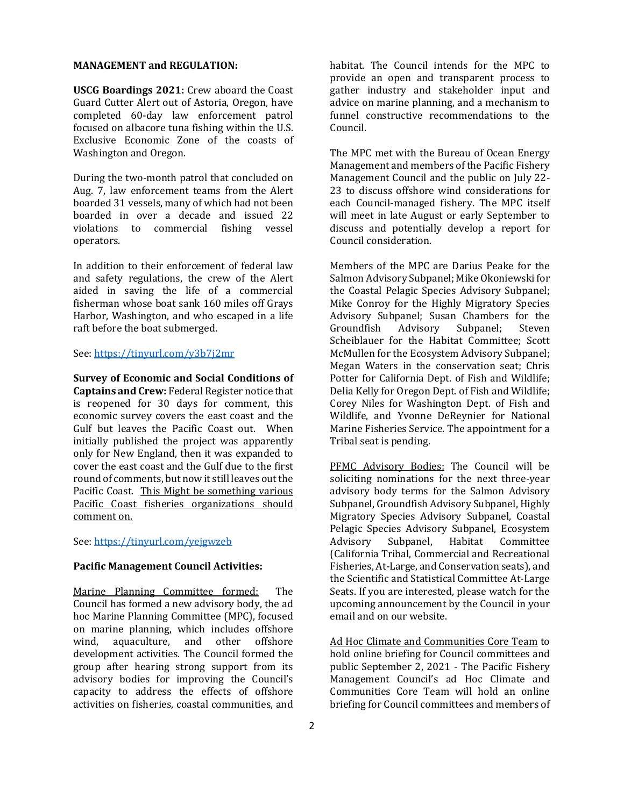### MANAGEMENT and REGULATION:

USCG Boardings 2021: Crew aboard the Coast Guard Cutter Alert out of Astoria, Oregon, have completed 60-day law enforcement patrol focused on albacore tuna fishing within the U.S. Exclusive Economic Zone of the coasts of Washington and Oregon.

During the two-month patrol that concluded on Aug. 7, law enforcement teams from the Alert boarded 31 vessels, many of which had not been boarded in over a decade and issued 22 violations to commercial fishing vessel operators.

In addition to their enforcement of federal law and safety regulations, the crew of the Alert aided in saving the life of a commercial fisherman whose boat sank 160 miles off Grays Harbor, Washington, and who escaped in a life raft before the boat submerged.

# See: https://tinyurl.com/y3b7j2mr

Survey of Economic and Social Conditions of Captains and Crew: Federal Register notice that is reopened for 30 days for comment, this economic survey covers the east coast and the Gulf but leaves the Pacific Coast out. When initially published the project was apparently only for New England, then it was expanded to cover the east coast and the Gulf due to the first round of comments, but now it still leaves out the Pacific Coast. This Might be something various Pacific Coast fisheries organizations should comment on.

### See: https://tinyurl.com/yejgwzeb

### Pacific Management Council Activities:

Marine Planning Committee formed: The Council has formed a new advisory body, the ad hoc Marine Planning Committee (MPC), focused on marine planning, which includes offshore wind, aquaculture, and other offshore development activities. The Council formed the group after hearing strong support from its advisory bodies for improving the Council's capacity to address the effects of offshore activities on fisheries, coastal communities, and

habitat. The Council intends for the MPC to provide an open and transparent process to gather industry and stakeholder input and advice on marine planning, and a mechanism to funnel constructive recommendations to the Council.

The MPC met with the Bureau of Ocean Energy Management and members of the Pacific Fishery Management Council and the public on July 22- 23 to discuss offshore wind considerations for each Council-managed fishery. The MPC itself will meet in late August or early September to discuss and potentially develop a report for Council consideration.

Members of the MPC are Darius Peake for the Salmon Advisory Subpanel; Mike Okoniewski for the Coastal Pelagic Species Advisory Subpanel; Mike Conroy for the Highly Migratory Species Advisory Subpanel; Susan Chambers for the Groundfish Advisory Subpanel; Steven Scheiblauer for the Habitat Committee; Scott McMullen for the Ecosystem Advisory Subpanel; Megan Waters in the conservation seat; Chris Potter for California Dept. of Fish and Wildlife; Delia Kelly for Oregon Dept. of Fish and Wildlife; Corey Niles for Washington Dept. of Fish and Wildlife, and Yvonne DeReynier for National Marine Fisheries Service. The appointment for a Tribal seat is pending.

PFMC Advisory Bodies: The Council will be soliciting nominations for the next three-year advisory body terms for the Salmon Advisory Subpanel, Groundfish Advisory Subpanel, Highly Migratory Species Advisory Subpanel, Coastal Pelagic Species Advisory Subpanel, Ecosystem Advisory Subpanel, Habitat Committee (California Tribal, Commercial and Recreational Fisheries, At-Large, and Conservation seats), and the Scientific and Statistical Committee At-Large Seats. If you are interested, please watch for the upcoming announcement by the Council in your email and on our website.

Ad Hoc Climate and Communities Core Team to hold online briefing for Council committees and public September 2, 2021 - The Pacific Fishery Management Council's ad Hoc Climate and Communities Core Team will hold an online briefing for Council committees and members of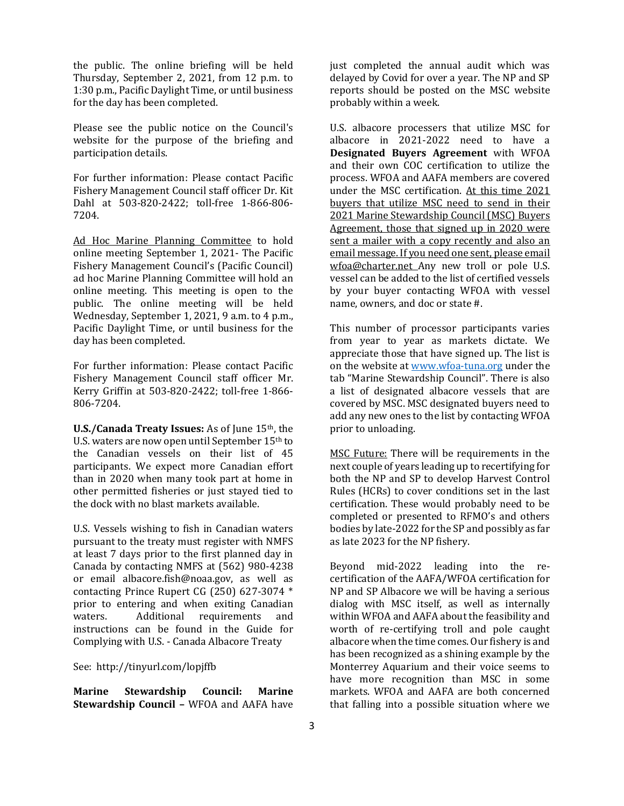the public. The online briefing will be held Thursday, September 2, 2021, from 12 p.m. to 1:30 p.m., Pacific Daylight Time, or until business for the day has been completed.

Please see the public notice on the Council's website for the purpose of the briefing and participation details.

For further information: Please contact Pacific Fishery Management Council staff officer Dr. Kit Dahl at 503-820-2422; toll-free 1-866-806- 7204.

Ad Hoc Marine Planning Committee to hold online meeting September 1, 2021- The Pacific Fishery Management Council's (Pacific Council) ad hoc Marine Planning Committee will hold an online meeting. This meeting is open to the public. The online meeting will be held Wednesday, September 1, 2021, 9 a.m. to 4 p.m., Pacific Daylight Time, or until business for the day has been completed.

For further information: Please contact Pacific Fishery Management Council staff officer Mr. Kerry Griffin at 503-820-2422; toll-free 1-866- 806-7204.

U.S./Canada Treaty Issues: As of June 15th, the U.S. waters are now open until September 15th to the Canadian vessels on their list of 45 participants. We expect more Canadian effort than in 2020 when many took part at home in other permitted fisheries or just stayed tied to the dock with no blast markets available.

U.S. Vessels wishing to fish in Canadian waters pursuant to the treaty must register with NMFS at least 7 days prior to the first planned day in Canada by contacting NMFS at (562) 980-4238 or email albacore.fish@noaa.gov, as well as contacting Prince Rupert CG (250) 627-3074 \* prior to entering and when exiting Canadian waters. Additional requirements and instructions can be found in the Guide for Complying with U.S. - Canada Albacore Treaty

See: http://tinyurl.com/lopjffb

Marine Stewardship Council: Marine Stewardship Council – WFOA and AAFA have just completed the annual audit which was delayed by Covid for over a year. The NP and SP reports should be posted on the MSC website probably within a week.

U.S. albacore processers that utilize MSC for albacore in 2021-2022 need to have a Designated Buyers Agreement with WFOA and their own COC certification to utilize the process. WFOA and AAFA members are covered under the MSC certification. At this time 2021 buyers that utilize MSC need to send in their 2021 Marine Stewardship Council (MSC) Buyers Agreement, those that signed up in 2020 were sent a mailer with a copy recently and also an email message. If you need one sent, please email wfoa@charter.net Any new troll or pole U.S. vessel can be added to the list of certified vessels by your buyer contacting WFOA with vessel name, owners, and doc or state #.

This number of processor participants varies from year to year as markets dictate. We appreciate those that have signed up. The list is on the website at www.wfoa-tuna.org under the tab "Marine Stewardship Council". There is also a list of designated albacore vessels that are covered by MSC. MSC designated buyers need to add any new ones to the list by contacting WFOA prior to unloading.

MSC Future: There will be requirements in the next couple of years leading up to recertifying for both the NP and SP to develop Harvest Control Rules (HCRs) to cover conditions set in the last certification. These would probably need to be completed or presented to RFMO's and others bodies by late-2022 for the SP and possibly as far as late 2023 for the NP fishery.

Beyond mid-2022 leading into the recertification of the AAFA/WFOA certification for NP and SP Albacore we will be having a serious dialog with MSC itself, as well as internally within WFOA and AAFA about the feasibility and worth of re-certifying troll and pole caught albacore when the time comes. Our fishery is and has been recognized as a shining example by the Monterrey Aquarium and their voice seems to have more recognition than MSC in some markets. WFOA and AAFA are both concerned that falling into a possible situation where we